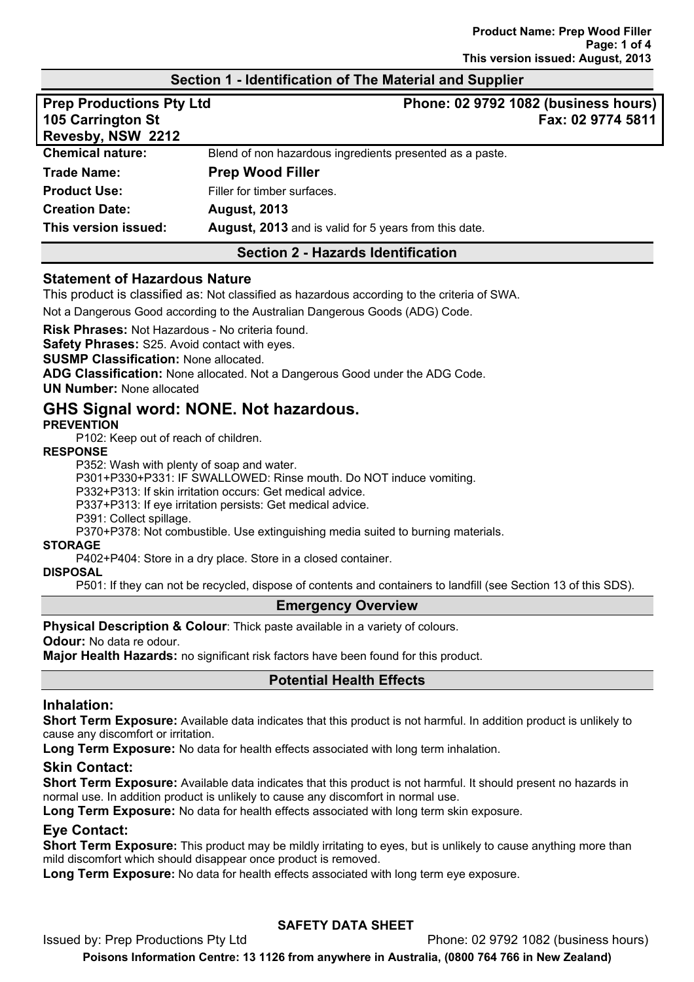#### **Section 1 - Identification of The Material and Supplier**

| <b>Prep Productions Pty Ltd</b><br>105 Carrington St<br>Revesby, NSW 2212 | Phone: 02 9792 1082 (business hours)<br>Fax: 02 9774 5811 |
|---------------------------------------------------------------------------|-----------------------------------------------------------|
| <b>Chemical nature:</b>                                                   | Blend of non hazardous ingredients presented as a paste.  |
| <b>Trade Name:</b>                                                        | <b>Prep Wood Filler</b>                                   |
| <b>Product Use:</b>                                                       | Filler for timber surfaces.                               |
| <b>Creation Date:</b>                                                     | <b>August, 2013</b>                                       |
| This version issued:                                                      | August, 2013 and is valid for 5 years from this date.     |

#### **Section 2 - Hazards Identification**

#### **Statement of Hazardous Nature**

This product is classified as: Not classified as hazardous according to the criteria of SWA.

Not a Dangerous Good according to the Australian Dangerous Goods (ADG) Code.

**Risk Phrases:** Not Hazardous - No criteria found.

**Safety Phrases:** S25. Avoid contact with eyes.

**SUSMP Classification:** None allocated.

**ADG Classification:** None allocated. Not a Dangerous Good under the ADG Code.

**UN Number:** None allocated

# **GHS Signal word: NONE. Not hazardous.**

#### **PREVENTION**

P102: Keep out of reach of children.

#### **RESPONSE**

P352: Wash with plenty of soap and water.

P301+P330+P331: IF SWALLOWED: Rinse mouth. Do NOT induce vomiting.

P332+P313: If skin irritation occurs: Get medical advice.

P337+P313: If eye irritation persists: Get medical advice.

P391: Collect spillage.

P370+P378: Not combustible. Use extinguishing media suited to burning materials.

#### **STORAGE**

P402+P404: Store in a dry place. Store in a closed container.

#### **DISPOSAL**

P501: If they can not be recycled, dispose of contents and containers to landfill (see Section 13 of this SDS).

#### **Emergency Overview**

**Physical Description & Colour**: Thick paste available in a variety of colours.

**Odour:** No data re odour.

**Major Health Hazards:** no significant risk factors have been found for this product.

#### **Potential Health Effects**

#### **Inhalation:**

**Short Term Exposure:** Available data indicates that this product is not harmful. In addition product is unlikely to cause any discomfort or irritation.

**Long Term Exposure:** No data for health effects associated with long term inhalation.

#### **Skin Contact:**

**Short Term Exposure:** Available data indicates that this product is not harmful. It should present no hazards in normal use. In addition product is unlikely to cause any discomfort in normal use.

**Long Term Exposure:** No data for health effects associated with long term skin exposure.

#### **Eye Contact:**

**Short Term Exposure:** This product may be mildly irritating to eyes, but is unlikely to cause anything more than mild discomfort which should disappear once product is removed.

**Long Term Exposure:** No data for health effects associated with long term eye exposure.

## **SAFETY DATA SHEET**

Issued by: Prep Productions Pty Ltd **Phone: 02 9792 1082 (business hours)** Phone: 02 9792 1082 (business hours)

**Poisons Information Centre: 13 1126 from anywhere in Australia, (0800 764 766 in New Zealand)**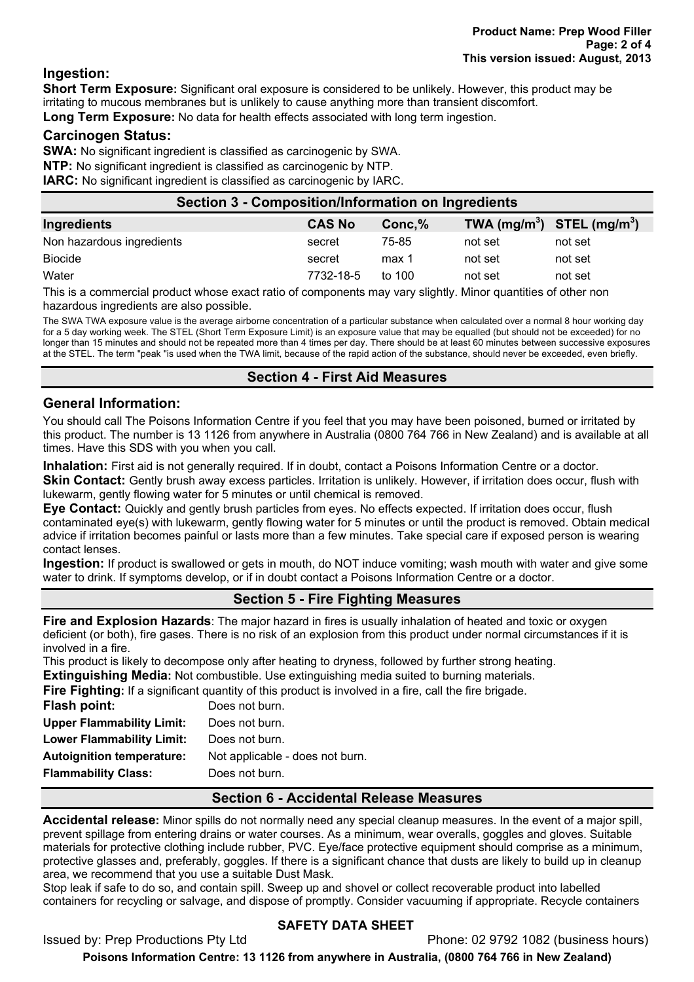#### **Ingestion:**

**Short Term Exposure:** Significant oral exposure is considered to be unlikely. However, this product may be irritating to mucous membranes but is unlikely to cause anything more than transient discomfort. **Long Term Exposure:** No data for health effects associated with long term ingestion.

#### **Carcinogen Status:**

**SWA:** No significant ingredient is classified as carcinogenic by SWA. **NTP:** No significant ingredient is classified as carcinogenic by NTP. **IARC:** No significant ingredient is classified as carcinogenic by IARC.

| Section 3 - Composition/Information on Ingredients |               |          |         |                                |
|----------------------------------------------------|---------------|----------|---------|--------------------------------|
| Ingredients                                        | <b>CAS No</b> | Conc, %  |         | TWA $(mg/m^3)$ STEL $(mg/m^3)$ |
| Non hazardous ingredients                          | secret        | 75-85    | not set | not set                        |
| <b>Biocide</b>                                     | secret        | max 1    | not set | not set                        |
| Water                                              | 7732-18-5     | to $100$ | not set | not set                        |
|                                                    |               |          |         |                                |

This is a commercial product whose exact ratio of components may vary slightly. Minor quantities of other non hazardous ingredients are also possible.

The SWA TWA exposure value is the average airborne concentration of a particular substance when calculated over a normal 8 hour working day for a 5 day working week. The STEL (Short Term Exposure Limit) is an exposure value that may be equalled (but should not be exceeded) for no longer than 15 minutes and should not be repeated more than 4 times per day. There should be at least 60 minutes between successive exposures at the STEL. The term "peak "is used when the TWA limit, because of the rapid action of the substance, should never be exceeded, even briefly.

#### **Section 4 - First Aid Measures**

#### **General Information:**

You should call The Poisons Information Centre if you feel that you may have been poisoned, burned or irritated by this product. The number is 13 1126 from anywhere in Australia (0800 764 766 in New Zealand) and is available at all times. Have this SDS with you when you call.

**Inhalation:** First aid is not generally required. If in doubt, contact a Poisons Information Centre or a doctor.

**Skin Contact:** Gently brush away excess particles. Irritation is unlikely. However, if irritation does occur, flush with lukewarm, gently flowing water for 5 minutes or until chemical is removed.

**Eye Contact:** Quickly and gently brush particles from eyes. No effects expected. If irritation does occur, flush contaminated eye(s) with lukewarm, gently flowing water for 5 minutes or until the product is removed. Obtain medical advice if irritation becomes painful or lasts more than a few minutes. Take special care if exposed person is wearing contact lenses.

**Ingestion:** If product is swallowed or gets in mouth, do NOT induce vomiting; wash mouth with water and give some water to drink. If symptoms develop, or if in doubt contact a Poisons Information Centre or a doctor.

## **Section 5 - Fire Fighting Measures**

**Fire and Explosion Hazards**: The major hazard in fires is usually inhalation of heated and toxic or oxygen deficient (or both), fire gases. There is no risk of an explosion from this product under normal circumstances if it is involved in a fire.

This product is likely to decompose only after heating to dryness, followed by further strong heating.

**Extinguishing Media:** Not combustible. Use extinguishing media suited to burning materials.

| Does not burn.                  |                                                                                                               |
|---------------------------------|---------------------------------------------------------------------------------------------------------------|
| Does not burn.                  |                                                                                                               |
| Does not burn.                  |                                                                                                               |
| Not applicable - does not burn. |                                                                                                               |
|                                 | <b>Fire Fighting:</b> If a significant quantity of this product is involved in a fire, call the fire brigade. |

**Flammability Class:** Does not burn.

## **Section 6 - Accidental Release Measures**

**Accidental release:** Minor spills do not normally need any special cleanup measures. In the event of a major spill, prevent spillage from entering drains or water courses. As a minimum, wear overalls, goggles and gloves. Suitable materials for protective clothing include rubber, PVC. Eye/face protective equipment should comprise as a minimum, protective glasses and, preferably, goggles. If there is a significant chance that dusts are likely to build up in cleanup area, we recommend that you use a suitable Dust Mask.

Stop leak if safe to do so, and contain spill. Sweep up and shovel or collect recoverable product into labelled containers for recycling or salvage, and dispose of promptly. Consider vacuuming if appropriate. Recycle containers

## **SAFETY DATA SHEET**

Issued by: Prep Productions Pty Ltd Phone: 02 9792 1082 (business hours)

**Poisons Information Centre: 13 1126 from anywhere in Australia, (0800 764 766 in New Zealand)**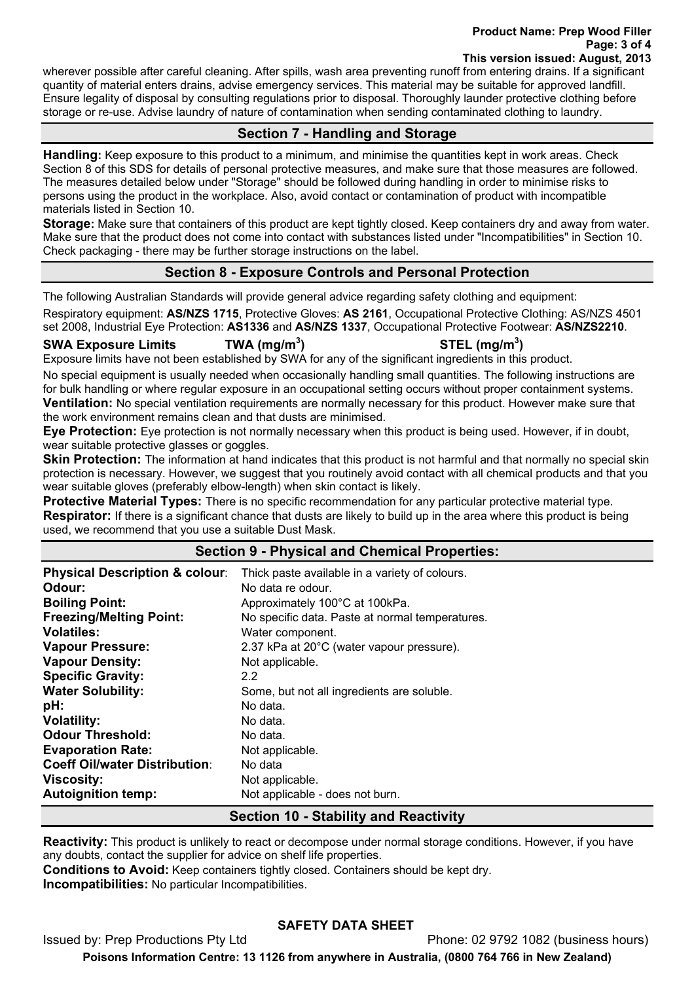#### **Product Name: Prep Wood Filler Page: 3 of 4 This version issued: August, 2013**

wherever possible after careful cleaning. After spills, wash area preventing runoff from entering drains. If a significant quantity of material enters drains, advise emergency services. This material may be suitable for approved landfill. Ensure legality of disposal by consulting regulations prior to disposal. Thoroughly launder protective clothing before storage or re-use. Advise laundry of nature of contamination when sending contaminated clothing to laundry.

# **Section 7 - Handling and Storage**

**Handling:** Keep exposure to this product to a minimum, and minimise the quantities kept in work areas. Check Section 8 of this SDS for details of personal protective measures, and make sure that those measures are followed. The measures detailed below under "Storage" should be followed during handling in order to minimise risks to persons using the product in the workplace. Also, avoid contact or contamination of product with incompatible materials listed in Section 10.

**Storage:** Make sure that containers of this product are kept tightly closed. Keep containers dry and away from water. Make sure that the product does not come into contact with substances listed under "Incompatibilities" in Section 10. Check packaging - there may be further storage instructions on the label.

## **Section 8 - Exposure Controls and Personal Protection**

The following Australian Standards will provide general advice regarding safety clothing and equipment:

Respiratory equipment: **AS/NZS 1715**, Protective Gloves: **AS 2161**, Occupational Protective Clothing: AS/NZS 4501 set 2008, Industrial Eye Protection: **AS1336** and **AS/NZS 1337**, Occupational Protective Footwear: **AS/NZS2210**.

#### **SWA Exposure Limits TWA (mg/m<sup>3</sup>**

**) STEL (mg/m<sup>3</sup> )** 

Exposure limits have not been established by SWA for any of the significant ingredients in this product.

No special equipment is usually needed when occasionally handling small quantities. The following instructions are for bulk handling or where regular exposure in an occupational setting occurs without proper containment systems. **Ventilation:** No special ventilation requirements are normally necessary for this product. However make sure that the work environment remains clean and that dusts are minimised.

**Eye Protection:** Eye protection is not normally necessary when this product is being used. However, if in doubt, wear suitable protective glasses or goggles.

**Skin Protection:** The information at hand indicates that this product is not harmful and that normally no special skin protection is necessary. However, we suggest that you routinely avoid contact with all chemical products and that you wear suitable gloves (preferably elbow-length) when skin contact is likely.

**Protective Material Types:** There is no specific recommendation for any particular protective material type. **Respirator:** If there is a significant chance that dusts are likely to build up in the area where this product is being used, we recommend that you use a suitable Dust Mask.

## **Section 9 - Physical and Chemical Properties:**

| <b>Physical Description &amp; colour:</b><br>Odour: | Thick paste available in a variety of colours.<br>No data re odour. |
|-----------------------------------------------------|---------------------------------------------------------------------|
| <b>Boiling Point:</b>                               | Approximately 100°C at 100kPa.                                      |
| <b>Freezing/Melting Point:</b>                      | No specific data. Paste at normal temperatures.                     |
| <b>Volatiles:</b>                                   | Water component.                                                    |
| <b>Vapour Pressure:</b>                             | 2.37 kPa at 20°C (water vapour pressure).                           |
| <b>Vapour Density:</b>                              | Not applicable.                                                     |
| <b>Specific Gravity:</b>                            | 2.2                                                                 |
| <b>Water Solubility:</b>                            | Some, but not all ingredients are soluble.                          |
| pH:                                                 | No data.                                                            |
| <b>Volatility:</b>                                  | No data.                                                            |
| <b>Odour Threshold:</b>                             | No data.                                                            |
| <b>Evaporation Rate:</b>                            | Not applicable.                                                     |
| <b>Coeff Oil/water Distribution:</b>                | No data                                                             |
| <b>Viscosity:</b>                                   | Not applicable.                                                     |
| <b>Autoignition temp:</b>                           | Not applicable - does not burn.                                     |

**Section 10 - Stability and Reactivity** 

**Reactivity:** This product is unlikely to react or decompose under normal storage conditions. However, if you have any doubts, contact the supplier for advice on shelf life properties.

**Conditions to Avoid:** Keep containers tightly closed. Containers should be kept dry.

**Incompatibilities:** No particular Incompatibilities.

# **SAFETY DATA SHEET**

Issued by: Prep Productions Pty Ltd Phone: 02 9792 1082 (business hours) **Poisons Information Centre: 13 1126 from anywhere in Australia, (0800 764 766 in New Zealand)**